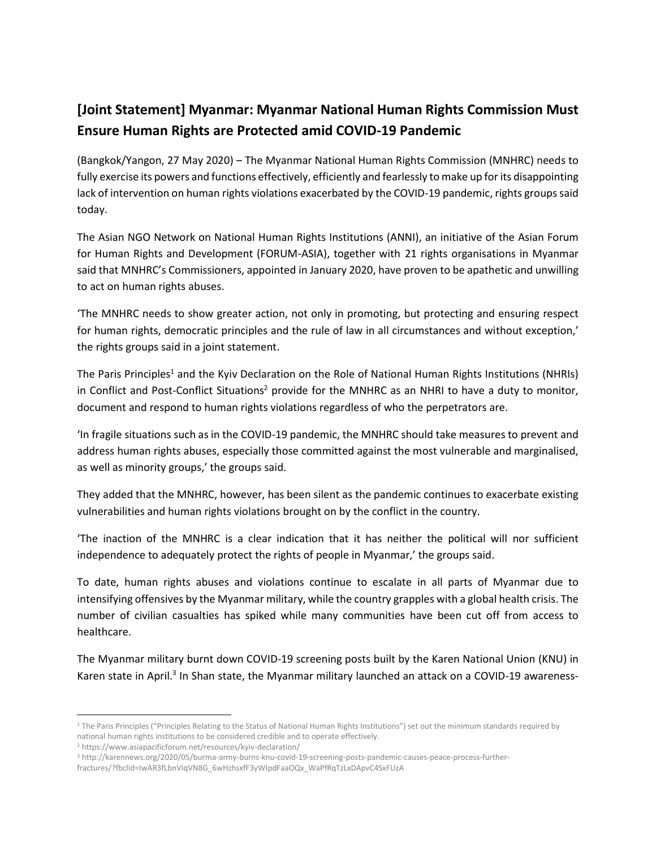## **[Joint Statement] Myanmar: Myanmar National Human Rights Commission Must Ensure Human Rights are Protected amid COVID-19 Pandemic**

(Bangkok/Yangon, 27 May 2020) – The Myanmar National Human Rights Commission (MNHRC) needs to fully exercise its powers and functions effectively, efficiently and fearlessly to make up for its disappointing lack of intervention on human rights violations exacerbated by the COVID-19 pandemic, rights groups said today.

The Asian NGO Network on National Human Rights Institutions (ANNI), an initiative of the Asian Forum for Human Rights and Development (FORUM-ASIA), together with 21 rights organisations in Myanmar said that MNHRC's Commissioners, appointed in January 2020, have proven to be apathetic and unwilling to act on human rights abuses.

'The MNHRC needs to show greater action, not only in promoting, but protecting and ensuring respect for human rights, democratic principles and the rule of law in all circumstances and without exception,' the rights groups said in a joint statement.

The Paris Principles<sup>1</sup> and the Kyiv Declaration on the Role of National Human Rights Institutions (NHRIs) in Conflict and Post-Conflict Situations<sup>2</sup> provide for the MNHRC as an NHRI to have a duty to monitor, document and respond to human rights violations regardless of who the perpetrators are.

'In fragile situations such as in the COVID-19 pandemic, the MNHRC should take measures to prevent and address human rights abuses, especially those committed against the most vulnerable and marginalised, as well as minority groups,' the groups said.

They added that the MNHRC, however, has been silent as the pandemic continues to exacerbate existing vulnerabilities and human rights violations brought on by the conflict in the country.

'The inaction of the MNHRC is a clear indication that it has neither the political will nor sufficient independence to adequately protect the rights of people in Myanmar,' the groups said.

To date, human rights abuses and violations continue to escalate in all parts of Myanmar due to intensifying offensives by the Myanmar military, while the country grapples with a global health crisis. The number of civilian casualties has spiked while many communities have been cut off from access to healthcare.

The Myanmar military burnt down COVID-19 screening posts built by the Karen National Union (KNU) in Karen state in April.<sup>3</sup> In Shan state, the Myanmar military launched an attack on a COVID-19 awareness-

 $\overline{a}$ 

<sup>&</sup>lt;sup>1</sup> The Paris Principles ("Principles Relating to the Status of National Human Rights Institutions") set out the minimum standards required by national human rights institutions to be considered credible and to operate effectively.

<sup>2</sup> <https://www.asiapacificforum.net/resources/kyiv-declaration/>

<sup>3</sup> [http://karennews.org/2020/05/burma-army-burns-knu-covid-19-screening-posts-pandemic-causes-peace-process-further-](http://karennews.org/2020/05/burma-army-burns-knu-covid-19-screening-posts-pandemic-causes-peace-process-further-fractures/?fbclid=IwAR3fLbnViqVN8G_6wHzhsxfF3yWIpdFaaOQx_WaPfRqTzLxDApvC4SxFUzA)

[fractures/?fbclid=IwAR3fLbnViqVN8G\\_6wHzhsxfF3yWIpdFaaOQx\\_WaPfRqTzLxDApvC4SxFUzA](http://karennews.org/2020/05/burma-army-burns-knu-covid-19-screening-posts-pandemic-causes-peace-process-further-fractures/?fbclid=IwAR3fLbnViqVN8G_6wHzhsxfF3yWIpdFaaOQx_WaPfRqTzLxDApvC4SxFUzA)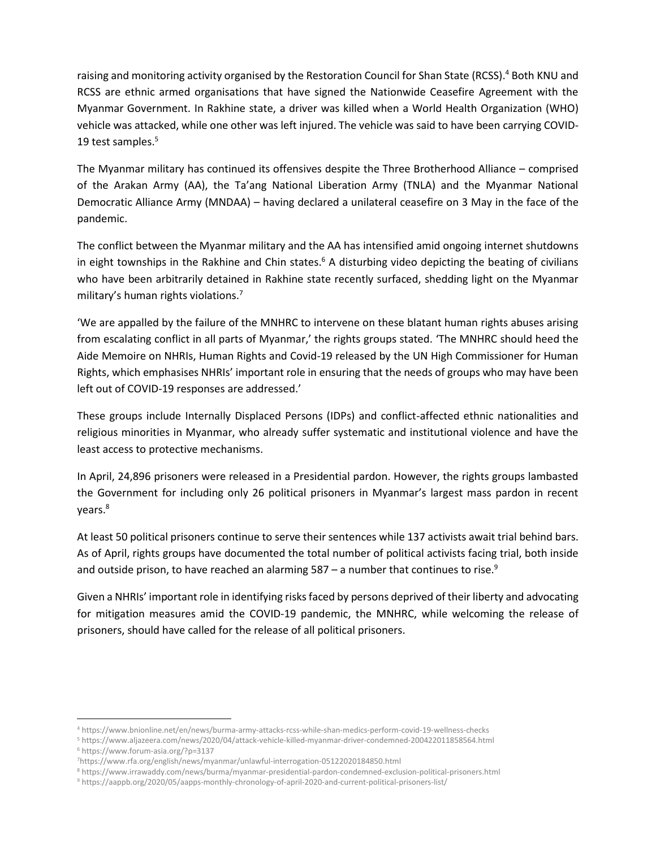raising and monitoring activity organised by the Restoration Council for Shan State (RCSS).<sup>4</sup> Both KNU and RCSS are ethnic armed organisations that have signed the Nationwide Ceasefire Agreement with the Myanmar Government. In Rakhine state, a driver was killed when a World Health Organization (WHO) vehicle was attacked, while one other was left injured. The vehicle was said to have been carrying COVID-19 test samples.<sup>5</sup>

The Myanmar military has continued its offensives despite the Three Brotherhood Alliance – comprised of the Arakan Army (AA), the Ta'ang National Liberation Army (TNLA) and the Myanmar National Democratic Alliance Army (MNDAA) – having declared a unilateral ceasefire on 3 May in the face of the pandemic.

The conflict between the Myanmar military and the AA has intensified amid ongoing internet shutdowns in eight townships in the Rakhine and Chin states.<sup>6</sup> A disturbing video depicting the beating of civilians who have been arbitrarily detained in Rakhine state recently surfaced, shedding light on the Myanmar military's human rights violations.<sup>7</sup>

'We are appalled by the failure of the MNHRC to intervene on these blatant human rights abuses arising from escalating conflict in all parts of Myanmar,' the rights groups stated. 'The MNHRC should heed the Aide Memoire on NHRIs, Human Rights and Covid-19 released by the UN High Commissioner for Human Rights, which emphasises NHRIs' important role in ensuring that the needs of groups who may have been left out of COVID-19 responses are addressed.'

These groups include Internally Displaced Persons (IDPs) and conflict-affected ethnic nationalities and religious minorities in Myanmar, who already suffer systematic and institutional violence and have the least access to protective mechanisms.

In April, 24,896 prisoners were released in a Presidential pardon. However, the rights groups lambasted the Government for including only 26 political prisoners in Myanmar's largest mass pardon in recent years.<sup>8</sup>

At least 50 political prisoners continue to serve their sentences while 137 activists await trial behind bars. As of April, rights groups have documented the total number of political activists facing trial, both inside and outside prison, to have reached an alarming  $587 - a$  number that continues to rise.<sup>9</sup>

Given a NHRIs' important role in identifying risks faced by persons deprived of their liberty and advocating for mitigation measures amid the COVID-19 pandemic, the MNHRC, while welcoming the release of prisoners, should have called for the release of all political prisoners.

 $\overline{\phantom{a}}$ 

<sup>4</sup> <https://www.bnionline.net/en/news/burma-army-attacks-rcss-while-shan-medics-perform-covid-19-wellness-checks>

<sup>5</sup> <https://www.aljazeera.com/news/2020/04/attack-vehicle-killed-myanmar-driver-condemned-200422011858564.html>

<sup>6</sup> <https://www.forum-asia.org/?p=3137>

<sup>7</sup><https://www.rfa.org/english/news/myanmar/unlawful-interrogation-05122020184850.html>

<sup>8</sup> <https://www.irrawaddy.com/news/burma/myanmar-presidential-pardon-condemned-exclusion-political-prisoners.html>

<sup>9</sup> <https://aappb.org/2020/05/aapps-monthly-chronology-of-april-2020-and-current-political-prisoners-list/>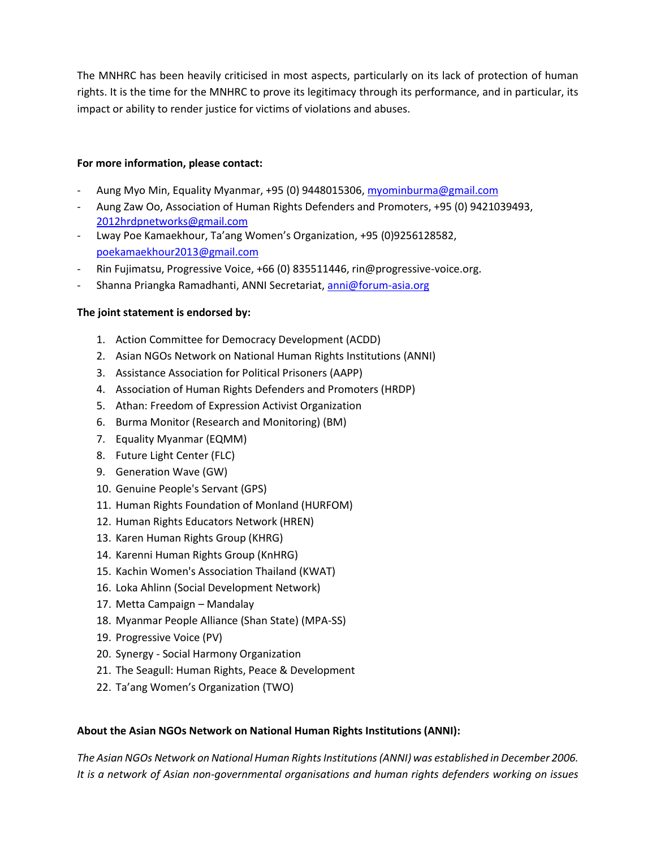The MNHRC has been heavily criticised in most aspects, particularly on its lack of protection of human rights. It is the time for the MNHRC to prove its legitimacy through its performance, and in particular, its impact or ability to render justice for victims of violations and abuses.

## **For more information, please contact:**

- Aung Myo Min, Equality Myanmar, +95 (0) 9448015306, [myominburma@gmail.com](mailto:myominburma@gmail.com)
- Aung Zaw Oo, Association of Human Rights Defenders and Promoters, +95 (0) 9421039493, [2012hrdpnetworks@gmail.com](mailto:2012hrdpnetworks@gmail.com)
- Lway Poe Kamaekhour, Ta'ang Women's Organization, +95 (0)9256128582, [poekamaekhour2013@gmail.com](mailto:poekamaekhour2013@gmail.com)
- Rin Fujimatsu, Progressive Voice, +66 (0) 835511446, rin@progressive-voice.org.
- Shanna Priangka Ramadhanti, ANNI Secretariat[, anni@forum-asia.org](mailto:anni@forum-asia.org)

## **The joint statement is endorsed by:**

- 1. Action Committee for Democracy Development (ACDD)
- 2. Asian NGOs Network on National Human Rights Institutions (ANNI)
- 3. Assistance Association for Political Prisoners (AAPP)
- 4. Association of Human Rights Defenders and Promoters (HRDP)
- 5. Athan: Freedom of Expression Activist Organization
- 6. Burma Monitor (Research and Monitoring) (BM)
- 7. Equality Myanmar (EQMM)
- 8. Future Light Center (FLC)
- 9. Generation Wave (GW)
- 10. Genuine People's Servant (GPS)
- 11. Human Rights Foundation of Monland (HURFOM)
- 12. Human Rights Educators Network (HREN)
- 13. Karen Human Rights Group (KHRG)
- 14. Karenni Human Rights Group (KnHRG)
- 15. Kachin Women's Association Thailand (KWAT)
- 16. Loka Ahlinn (Social Development Network)
- 17. Metta Campaign Mandalay
- 18. Myanmar People Alliance (Shan State) (MPA-SS)
- 19. Progressive Voice (PV)
- 20. Synergy Social Harmony Organization
- 21. The Seagull: Human Rights, Peace & Development
- 22. Ta'ang Women's Organization (TWO)

## **About the Asian NGOs Network on National Human Rights Institutions (ANNI):**

*The Asian NGOs Network on National Human Rights Institutions (ANNI) was established in December 2006. It is a network of Asian non-governmental organisations and human rights defenders working on issues*